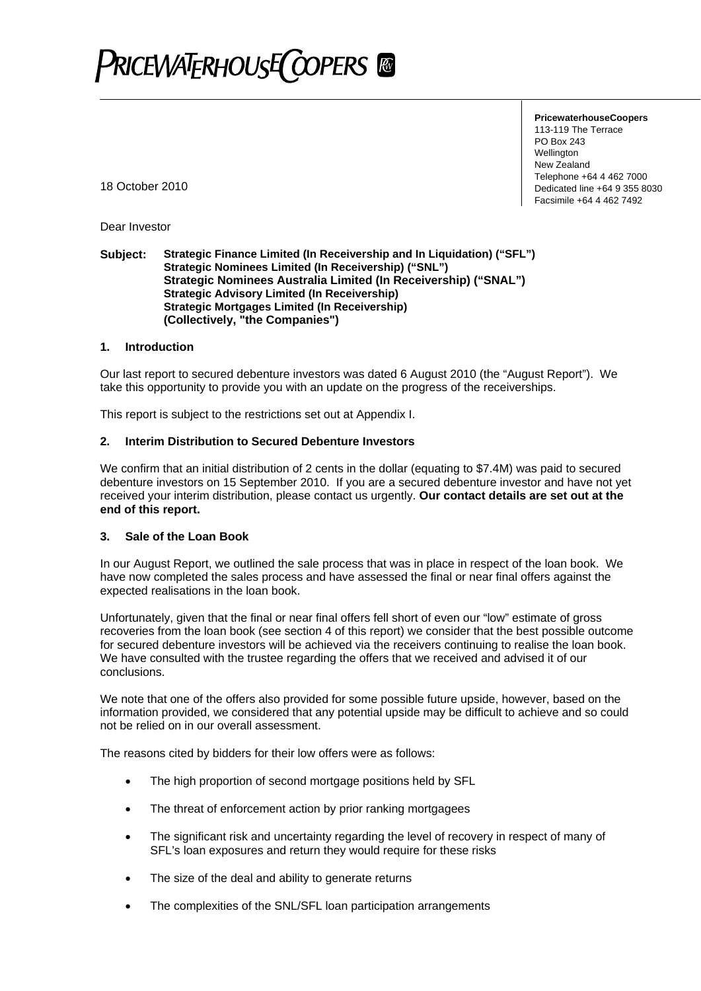

**PricewaterhouseCoopers** 

113-119 The Terrace PO Box 243 Wellington New Zealand Telephone +64 4 462 7000 Dedicated line +64 9 355 8030 Facsimile +64 4 462 7492

18 October 2010

Dear Investor

#### **Subject: Strategic Finance Limited (In Receivership and In Liquidation) ("SFL") Strategic Nominees Limited (In Receivership) ("SNL") Strategic Nominees Australia Limited (In Receivership) ("SNAL") Strategic Advisory Limited (In Receivership) Strategic Mortgages Limited (In Receivership) (Collectively, "the Companies")**

#### **1. Introduction**

Our last report to secured debenture investors was dated 6 August 2010 (the "August Report"). We take this opportunity to provide you with an update on the progress of the receiverships.

This report is subject to the restrictions set out at Appendix I.

#### **2. Interim Distribution to Secured Debenture Investors**

We confirm that an initial distribution of 2 cents in the dollar (equating to \$7.4M) was paid to secured debenture investors on 15 September 2010. If you are a secured debenture investor and have not yet received your interim distribution, please contact us urgently. **Our contact details are set out at the end of this report.** 

#### **3. Sale of the Loan Book**

In our August Report, we outlined the sale process that was in place in respect of the loan book. We have now completed the sales process and have assessed the final or near final offers against the expected realisations in the loan book.

Unfortunately, given that the final or near final offers fell short of even our "low" estimate of gross recoveries from the loan book (see section 4 of this report) we consider that the best possible outcome for secured debenture investors will be achieved via the receivers continuing to realise the loan book. We have consulted with the trustee regarding the offers that we received and advised it of our conclusions.

We note that one of the offers also provided for some possible future upside, however, based on the information provided, we considered that any potential upside may be difficult to achieve and so could not be relied on in our overall assessment.

The reasons cited by bidders for their low offers were as follows:

- The high proportion of second mortgage positions held by SFL
- The threat of enforcement action by prior ranking mortgagees
- The significant risk and uncertainty regarding the level of recovery in respect of many of SFL's loan exposures and return they would require for these risks
- The size of the deal and ability to generate returns
- The complexities of the SNL/SFL loan participation arrangements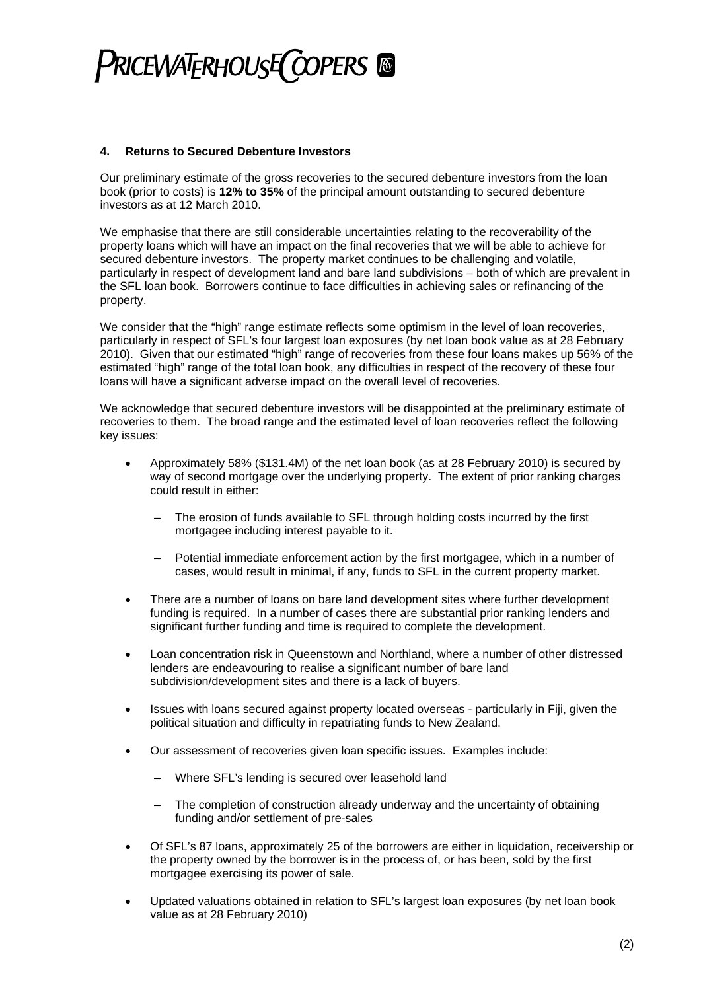## PRICEWATERHOUSE COPERS ®

#### **4. Returns to Secured Debenture Investors**

Our preliminary estimate of the gross recoveries to the secured debenture investors from the loan book (prior to costs) is **12% to 35%** of the principal amount outstanding to secured debenture investors as at 12 March 2010.

We emphasise that there are still considerable uncertainties relating to the recoverability of the property loans which will have an impact on the final recoveries that we will be able to achieve for secured debenture investors. The property market continues to be challenging and volatile, particularly in respect of development land and bare land subdivisions – both of which are prevalent in the SFL loan book. Borrowers continue to face difficulties in achieving sales or refinancing of the property.

We consider that the "high" range estimate reflects some optimism in the level of loan recoveries, particularly in respect of SFL's four largest loan exposures (by net loan book value as at 28 February 2010). Given that our estimated "high" range of recoveries from these four loans makes up 56% of the estimated "high" range of the total loan book, any difficulties in respect of the recovery of these four loans will have a significant adverse impact on the overall level of recoveries.

We acknowledge that secured debenture investors will be disappointed at the preliminary estimate of recoveries to them. The broad range and the estimated level of loan recoveries reflect the following key issues:

- Approximately 58% (\$131.4M) of the net loan book (as at 28 February 2010) is secured by way of second mortgage over the underlying property. The extent of prior ranking charges could result in either:
	- The erosion of funds available to SFL through holding costs incurred by the first mortgagee including interest payable to it.
	- Potential immediate enforcement action by the first mortgagee, which in a number of cases, would result in minimal, if any, funds to SFL in the current property market.
- There are a number of loans on bare land development sites where further development funding is required. In a number of cases there are substantial prior ranking lenders and significant further funding and time is required to complete the development.
- Loan concentration risk in Queenstown and Northland, where a number of other distressed lenders are endeavouring to realise a significant number of bare land subdivision/development sites and there is a lack of buyers.
- Issues with loans secured against property located overseas particularly in Fiji, given the political situation and difficulty in repatriating funds to New Zealand.
- Our assessment of recoveries given loan specific issues. Examples include:
	- Where SFL's lending is secured over leasehold land
	- The completion of construction already underway and the uncertainty of obtaining funding and/or settlement of pre-sales
- Of SFL's 87 loans, approximately 25 of the borrowers are either in liquidation, receivership or the property owned by the borrower is in the process of, or has been, sold by the first mortgagee exercising its power of sale.
- Updated valuations obtained in relation to SFL's largest loan exposures (by net loan book value as at 28 February 2010)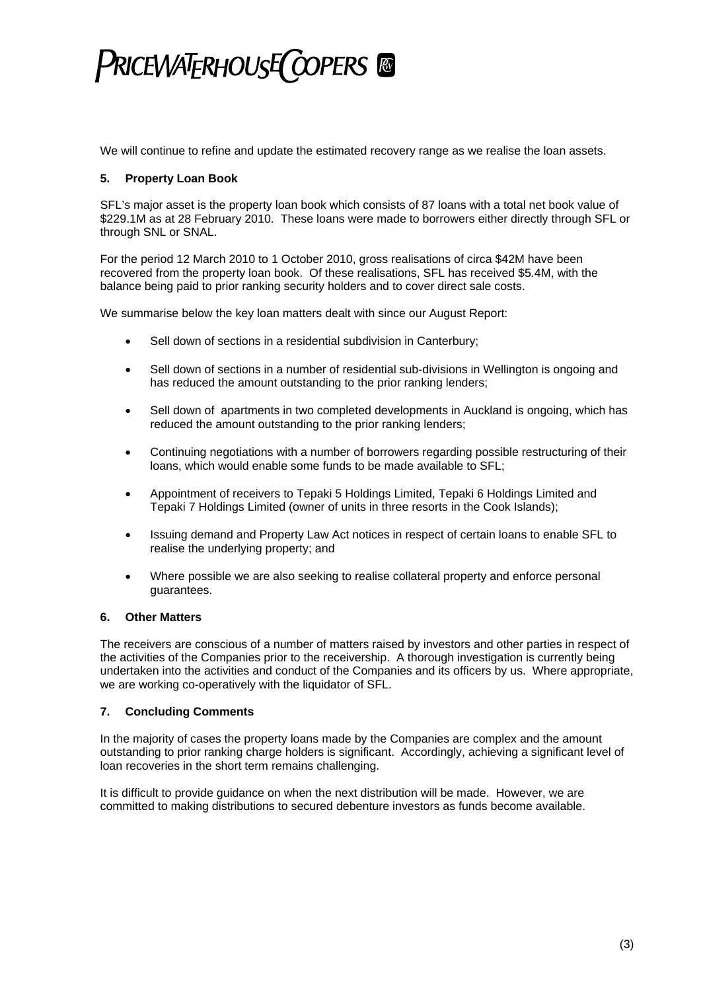## PRICEWATERHOUSE COPERS ®

We will continue to refine and update the estimated recovery range as we realise the loan assets.

### **5. Property Loan Book**

SFL's major asset is the property loan book which consists of 87 loans with a total net book value of \$229.1M as at 28 February 2010. These loans were made to borrowers either directly through SFL or through SNL or SNAL.

For the period 12 March 2010 to 1 October 2010, gross realisations of circa \$42M have been recovered from the property loan book. Of these realisations, SFL has received \$5.4M, with the balance being paid to prior ranking security holders and to cover direct sale costs.

We summarise below the key loan matters dealt with since our August Report:

- Sell down of sections in a residential subdivision in Canterbury;
- Sell down of sections in a number of residential sub-divisions in Wellington is ongoing and has reduced the amount outstanding to the prior ranking lenders;
- Sell down of apartments in two completed developments in Auckland is ongoing, which has reduced the amount outstanding to the prior ranking lenders;
- Continuing negotiations with a number of borrowers regarding possible restructuring of their loans, which would enable some funds to be made available to SFL;
- Appointment of receivers to Tepaki 5 Holdings Limited, Tepaki 6 Holdings Limited and Tepaki 7 Holdings Limited (owner of units in three resorts in the Cook Islands);
- Issuing demand and Property Law Act notices in respect of certain loans to enable SFL to realise the underlying property; and
- Where possible we are also seeking to realise collateral property and enforce personal guarantees.

### **6. Other Matters**

The receivers are conscious of a number of matters raised by investors and other parties in respect of the activities of the Companies prior to the receivership. A thorough investigation is currently being undertaken into the activities and conduct of the Companies and its officers by us. Where appropriate, we are working co-operatively with the liquidator of SFL.

### **7. Concluding Comments**

In the majority of cases the property loans made by the Companies are complex and the amount outstanding to prior ranking charge holders is significant. Accordingly, achieving a significant level of loan recoveries in the short term remains challenging.

It is difficult to provide guidance on when the next distribution will be made. However, we are committed to making distributions to secured debenture investors as funds become available.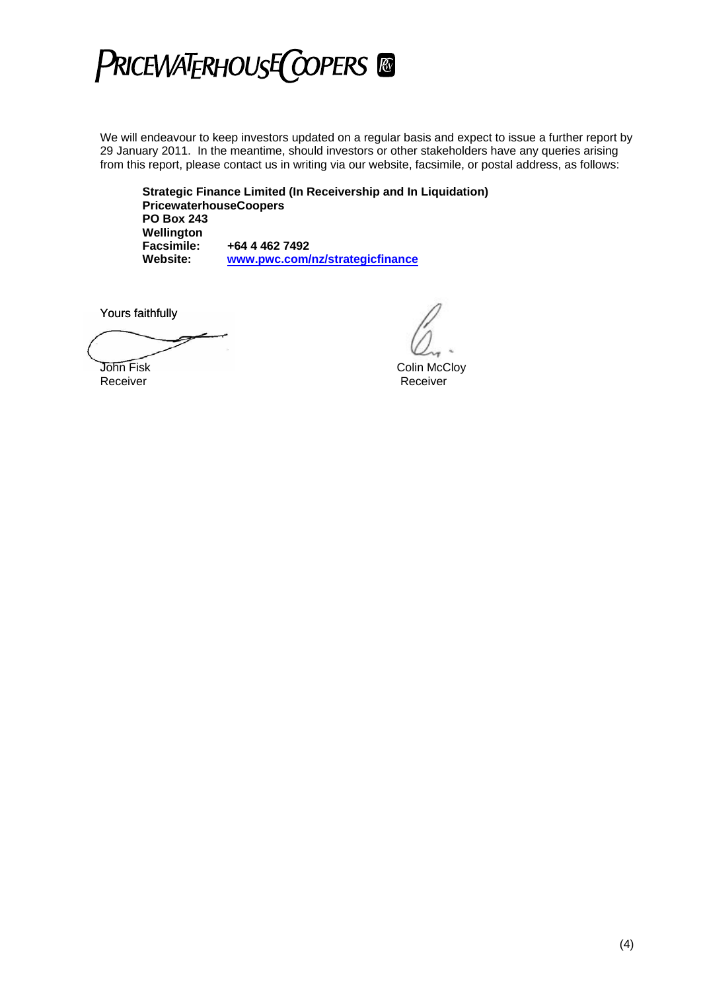

We will endeavour to keep investors updated on a regular basis and expect to issue a further report by 29 January 2011. In the meantime, should investors or other stakeholders have any queries arising from this report, please contact us in writing via our website, facsimile, or postal address, as follows:

**Strategic Finance Limited (In Receivership and In Liquidation) PricewaterhouseCoopers PO Box 243 Wellington Facsimile: +64 4 462 7492 Website: [www.pwc.com/nz/strategicfinance](http://www.pwc.com/nz/strategicfinance)**

Yours faithfully

**John Fisk** Colin McCloy

Receiver **Receiver Receiver**